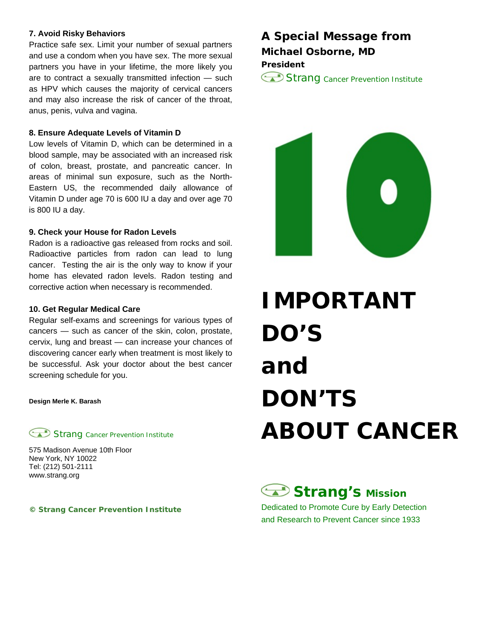### **7. Avoid Risky Behaviors**

Practice safe sex. Limit your number of sexual partners and use a condom when you have sex. The more sexual partners you have in your lifetime, the more likely you are to contract a sexually transmitted infection — such as HPV which causes the majority of cervical cancers and may also increase the risk of cancer of the throat, anus, penis, vulva and vagina.

### **8. Ensure Adequate Levels of Vitamin D**

Low levels of Vitamin D, which can be determined in a blood sample, may be associated with an increased risk of colon, breast, prostate, and pancreatic cancer. In areas of minimal sun exposure, such as the North-Eastern US, the recommended daily allowance of Vitamin D under age 70 is 600 IU a day and over age 70 is 800 IU a day.

### **9. Check your House for Radon Levels**

Radon is a radioactive gas released from rocks and soil. Radioactive particles from radon can lead to lung cancer. Testing the air is the only way to know if your home has elevated radon levels. Radon testing and corrective action when necessary is recommended.

### **10. Get Regular Medical Care**

Regular self-exams and screenings for various types of cancers — such as cancer of the skin, colon, prostate, cervix, lung and breast — can increase your chances of discovering cancer early when treatment is most likely to be successful. Ask your doctor about the best cancer screening schedule for you.

**Design Merle K. Barash** 

**Strang Cancer Prevention Institute** 

575 Madison Avenue 10th Floor New York, NY 10022 Tel: (212) 501-2111 www.strang.org

### **© Strang Cancer Prevention Institute**

### **A Special Message from Michael Osborne, MD President**

Strang Cancer Prevention Institute



# **IMPORTANT DO'S and DON'TS ABOUT CANCER**

## **Strang's Mission**

Dedicated to Promote Cure by Early Detection and Research to Prevent Cancer since 1933